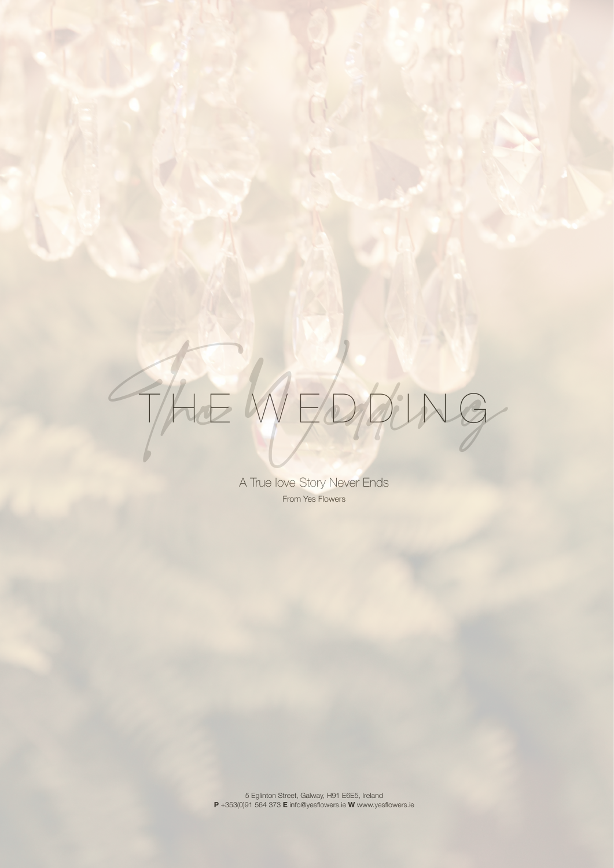

A True love Story Never Ends From Yes Flowers

5 Eglinton Street, Galway, H91 E6E5, Ireland **P** +353(0)91 564 373 **E** [info@yesflowers.ie](mailto:info@yesflowers.ie) **W** www.yesflowers.ie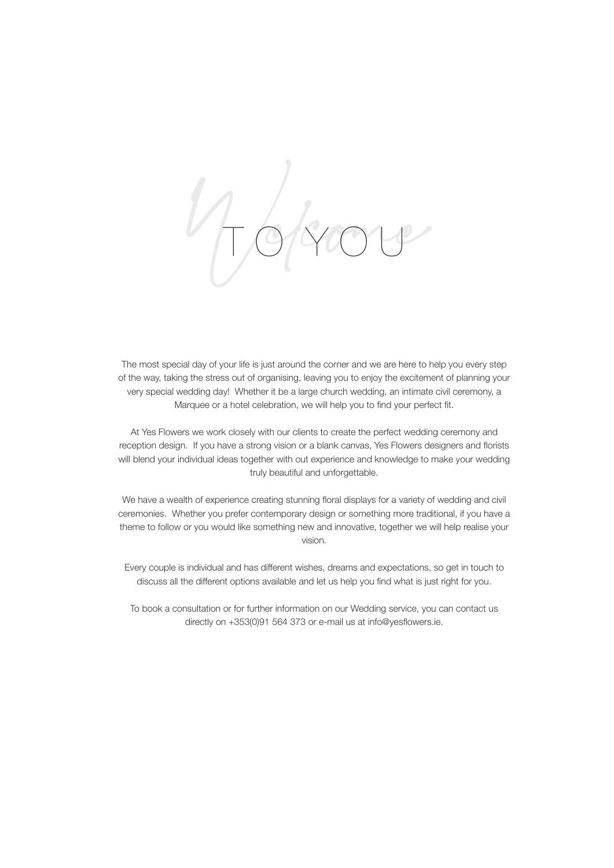Welcome T O Y O U

The most special day of your life is just around the corner and we are here to help you every step of the way, taking the stress out of organising, leaving you to enjoy the excitement of planning your very special wedding day! Whether it be a large church wedding, an intimate civil ceremony, a Marquee or a hotel celebration, we will help you to find your perfect fit.

At Yes Flowers we work closely with our clients to create the perfect wedding ceremony and reception design. If you have a strong vision or a blank canvas, Yes Flowers designers and florists will blend your individual ideas together with out experience and knowledge to make your wedding truly beautiful and unforgettable.

We have a wealth of experience creating stunning floral displays for a variety of wedding and civil ceremonies. Whether you prefer contemporary design or something more traditional, if you have a theme to follow or you would like something new and innovative, together we will help realise your vision.

Every couple is individual and has different wishes, dreams and expectations, so get in touch to discuss all the different options available and let us help you find what is just right for you.

To book a consultation or for further information on our Wedding service, you can contact us directly on +353(0)91 564 373 or e-mail us at [info@yesflowers.ie](mailto:info@yesflowers.ie).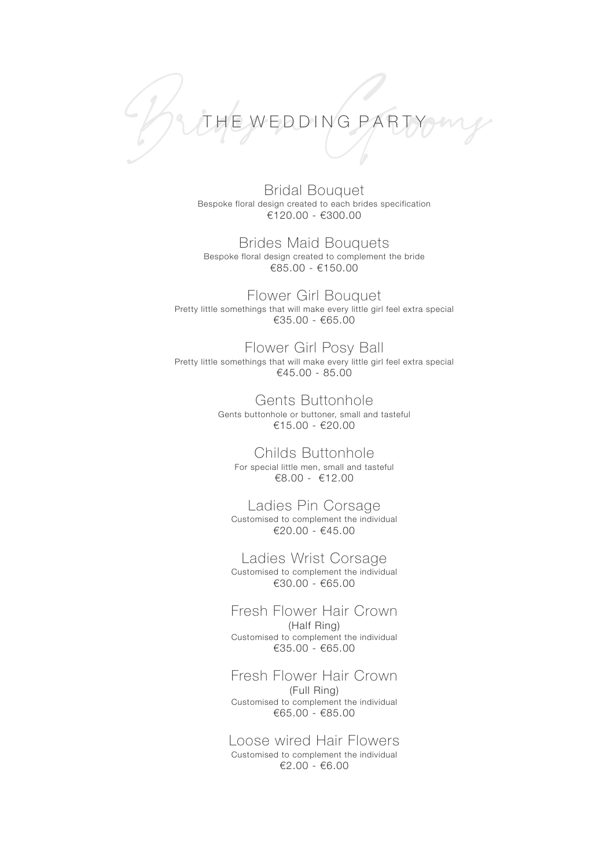

Bridal Bouquet Bespoke floral design created to each brides specification €120.00 - €300.00

Brides Maid Bouquets Bespoke floral design created to complement the bride €85.00 - €150.00

Flower Girl Bouquet Pretty little somethings that will make every little girl feel extra special €35.00 - €65.00

Flower Girl Posy Ball Pretty little somethings that will make every little girl feel extra special €45.00 - 85.00

> Gents Buttonhole Gents buttonhole or buttoner, small and tasteful €15.00 - €20.00

Childs Buttonhole For special little men, small and tasteful €8.00 - €12.00

Ladies Pin Corsage Customised to complement the individual €20.00 - €45.00

Ladies Wrist Corsage Customised to complement the individual €30.00 - €65.00

Fresh Flower Hair Crown (Half Ring) Customised to complement the individual €35.00 - €65.00

Fresh Flower Hair Crown (Full Ring) Customised to complement the individual €65.00 - €85.00

Loose wired Hair Flowers Customised to complement the individual €2.00 - €6.00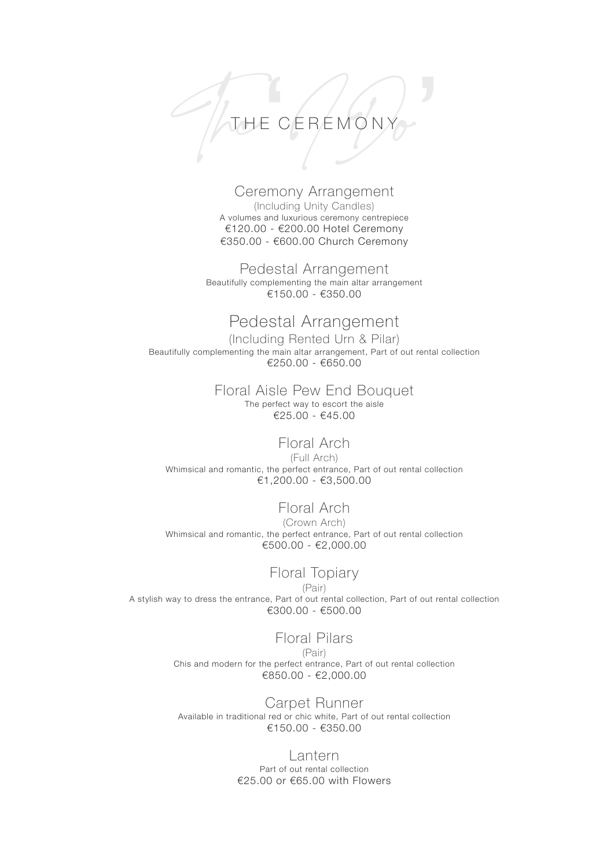# THE CEREMONY THE CEREMONY

# Ceremony Arrangement

(Including Unity Candles) A volumes and luxurious ceremony centrepiece €120.00 - €200.00 Hotel Ceremony €350.00 - €600.00 Church Ceremony

Pedestal Arrangement Beautifully complementing the main altar arrangement €150.00 - €350.00

# Pedestal Arrangement

(Including Rented Urn & Pilar) Beautifully complementing the main altar arrangement, Part of out rental collection €250.00 - €650.00

# Floral Aisle Pew End Bouquet

The perfect way to escort the aisle €25.00 - €45.00

## Floral Arch

(Full Arch) Whimsical and romantic, the perfect entrance, Part of out rental collection €1,200.00 - €3,500.00

## Floral Arch

(Crown Arch) Whimsical and romantic, the perfect entrance, Part of out rental collection €500.00 - €2,000.00

# Floral Topiary

(Pair) A stylish way to dress the entrance, Part of out rental collection, Part of out rental collection €300.00 - €500.00

## Floral Pilars

(Pair) Chis and modern for the perfect entrance, Part of out rental collection €850.00 - €2,000.00

Carpet Runner Available in traditional red or chic white, Part of out rental collection €150.00 - €350.00

#### Lantern

Part of out rental collection €25.00 or €65.00 with Flowers